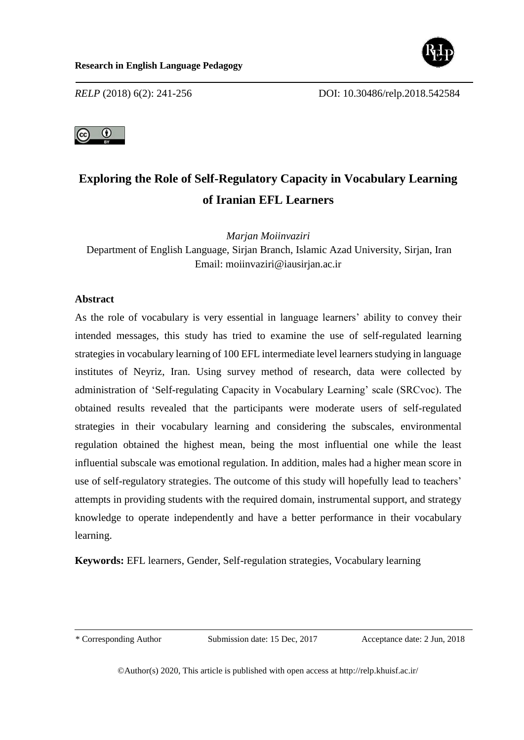



# **Exploring the Role of Self-Regulatory Capacity in Vocabulary Learning of Iranian EFL Learners**

*Marjan Moiinvaziri* 

Department of English Language, Sirjan Branch, Islamic Azad University, Sirjan, Iran Email: moiinvaziri@iausirjan.ac.ir

# **Abstract**

As the role of vocabulary is very essential in language learners' ability to convey their intended messages, this study has tried to examine the use of self-regulated learning strategies in vocabulary learning of 100 EFL intermediate level learners studying in language institutes of Neyriz, Iran. Using survey method of research, data were collected by administration of 'Self-regulating Capacity in Vocabulary Learning' scale (SRCvoc). The obtained results revealed that the participants were moderate users of self-regulated strategies in their vocabulary learning and considering the subscales, environmental regulation obtained the highest mean, being the most influential one while the least influential subscale was emotional regulation. In addition, males had a higher mean score in use of self-regulatory strategies. The outcome of this study will hopefully lead to teachers' attempts in providing students with the required domain, instrumental support, and strategy knowledge to operate independently and have a better performance in their vocabulary learning.

**Keywords:** EFL learners, Gender, Self-regulation strategies, Vocabulary learning

\* Corresponding Author Submission date: 15 Dec, 2017 Acceptance date: 2 Jun, 2018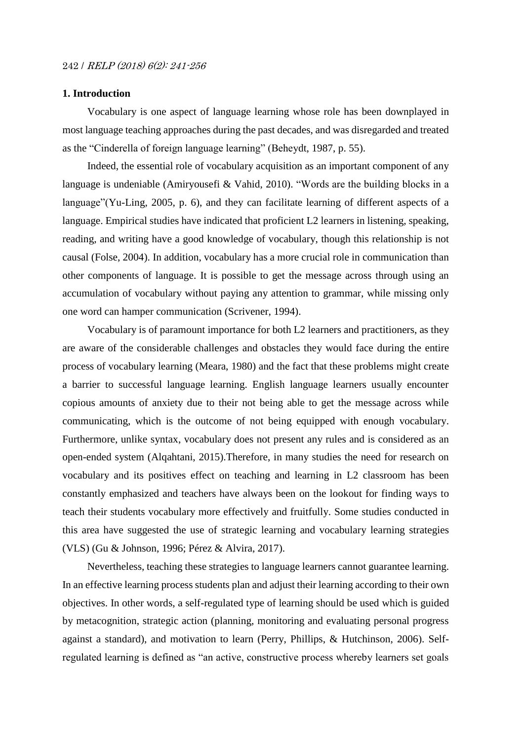## **1. Introduction**

Vocabulary is one aspect of language learning whose role has been downplayed in most language teaching approaches during the past decades, and was disregarded and treated as the "Cinderella of foreign language learning" (Beheydt, 1987, p. 55).

Indeed, the essential role of vocabulary acquisition as an important component of any language is undeniable (Amiryousefi & Vahid, 2010). "Words are the building blocks in a language"(Yu-Ling, 2005, p. 6), and they can facilitate learning of different aspects of a language. Empirical studies have indicated that proficient L2 learners in listening, speaking, reading, and writing have a good knowledge of vocabulary, though this relationship is not causal (Folse, 2004). In addition, vocabulary has a more crucial role in communication than other components of language. It is possible to get the message across through using an accumulation of vocabulary without paying any attention to grammar, while missing only one word can hamper communication (Scrivener, 1994).

Vocabulary is of paramount importance for both L2 learners and practitioners, as they are aware of the considerable challenges and obstacles they would face during the entire process of vocabulary learning (Meara, 1980) and the fact that these problems might create a barrier to successful language learning. English language learners usually encounter copious amounts of anxiety due to their not being able to get the message across while communicating, which is the outcome of not being equipped with enough vocabulary. Furthermore, unlike syntax, vocabulary does not present any rules and is considered as an open-ended system (Alqahtani, 2015).Therefore, in many studies the need for research on vocabulary and its positives effect on teaching and learning in L2 classroom has been constantly emphasized and teachers have always been on the lookout for finding ways to teach their students vocabulary more effectively and fruitfully. Some studies conducted in this area have suggested the use of strategic learning and vocabulary learning strategies (VLS) (Gu & Johnson, 1996; Pérez & Alvira, 2017).

Nevertheless, teaching these strategies to language learners cannot guarantee learning. In an effective learning process students plan and adjust their learning according to their own objectives. In other words, a self-regulated type of learning should be used which is guided by metacognition, strategic action (planning, monitoring and evaluating personal progress against a standard), and motivation to learn (Perry, Phillips, & Hutchinson, 2006). Selfregulated learning is defined as "an active, constructive process whereby learners set goals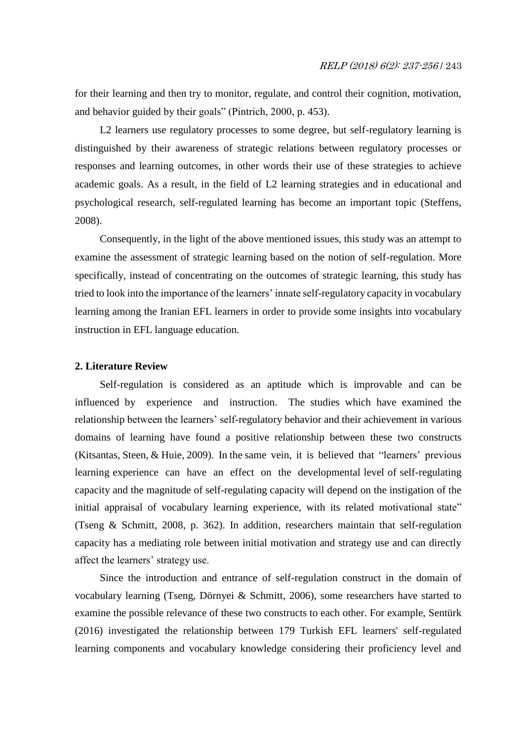for their learning and then try to monitor, regulate, and control their cognition, motivation, and behavior guided by their goals" (Pintrich, 2000, p. 453).

L2 learners use regulatory processes to some degree, but self-regulatory learning is distinguished by their awareness of strategic relations between regulatory processes or responses and learning outcomes, in other words their use of these strategies to achieve academic goals. As a result, in the field of L2 learning strategies and in educational and psychological research, self-regulated learning has become an important topic (Steffens, 2008).

Consequently, in the light of the above mentioned issues, this study was an attempt to examine the assessment of strategic learning based on the notion of self-regulation. More specifically, instead of concentrating on the outcomes of strategic learning, this study has tried to look into the importance of the learners' innate self-regulatory capacity in vocabulary learning among the Iranian EFL learners in order to provide some insights into vocabulary instruction in EFL language education.

#### **2. Literature Review**

Self-regulation is considered as an aptitude which is improvable and can be influenced by experience and instruction. The studies which have examined the relationship between the learners' self-regulatory behavior and their achievement in various domains of learning have found a positive relationship between these two constructs (Kitsantas, Steen, & Huie, 2009). In the same vein, it is believed that "learners' previous learning experience can have an effect on the developmental level of self-regulating capacity and the magnitude of self-regulating capacity will depend on the instigation of the initial appraisal of vocabulary learning experience, with its related motivational state" (Tseng & Schmitt, 2008, p. 362). In addition, researchers maintain that self-regulation capacity has a mediating role between initial motivation and strategy use and can directly affect the learners' strategy use.

Since the introduction and entrance of self-regulation construct in the domain of vocabulary learning (Tseng, Dörnyei & Schmitt, 2006), some researchers have started to examine the possible relevance of these two constructs to each other. For example, Sentürk (2016) investigated the relationship between 179 Turkish EFL learners' self-regulated learning components and vocabulary knowledge considering their proficiency level and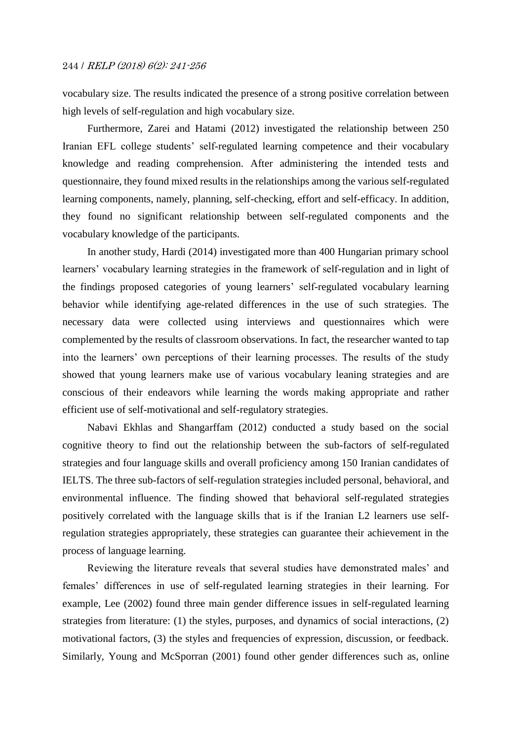vocabulary size. The results indicated the presence of a strong positive correlation between high levels of self-regulation and high vocabulary size.

Furthermore, Zarei and Hatami (2012) investigated the relationship between 250 Iranian EFL college students' self-regulated learning competence and their vocabulary knowledge and reading comprehension. After administering the intended tests and questionnaire, they found mixed results in the relationships among the various self-regulated learning components, namely, planning, self-checking, effort and self-efficacy. In addition, they found no significant relationship between self-regulated components and the vocabulary knowledge of the participants.

In another study, Hardi (2014) investigated more than 400 Hungarian primary school learners' vocabulary learning strategies in the framework of self-regulation and in light of the findings proposed categories of young learners' self-regulated vocabulary learning behavior while identifying age-related differences in the use of such strategies. The necessary data were collected using interviews and questionnaires which were complemented by the results of classroom observations. In fact, the researcher wanted to tap into the learners' own perceptions of their learning processes. The results of the study showed that young learners make use of various vocabulary leaning strategies and are conscious of their endeavors while learning the words making appropriate and rather efficient use of self-motivational and self-regulatory strategies.

Nabavi Ekhlas and Shangarffam (2012) conducted a study based on the social cognitive theory to find out the relationship between the sub-factors of self-regulated strategies and four language skills and overall proficiency among 150 Iranian candidates of IELTS. The three sub-factors of self-regulation strategies included personal, behavioral, and environmental influence. The finding showed that behavioral self-regulated strategies positively correlated with the language skills that is if the Iranian L2 learners use selfregulation strategies appropriately, these strategies can guarantee their achievement in the process of language learning.

Reviewing the literature reveals that several studies have demonstrated males' and females' differences in use of self-regulated learning strategies in their learning. For example, Lee (2002) found three main gender difference issues in self-regulated learning strategies from literature: (1) the styles, purposes, and dynamics of social interactions, (2) motivational factors, (3) the styles and frequencies of expression, discussion, or feedback. Similarly, Young and McSporran (2001) found other gender differences such as, online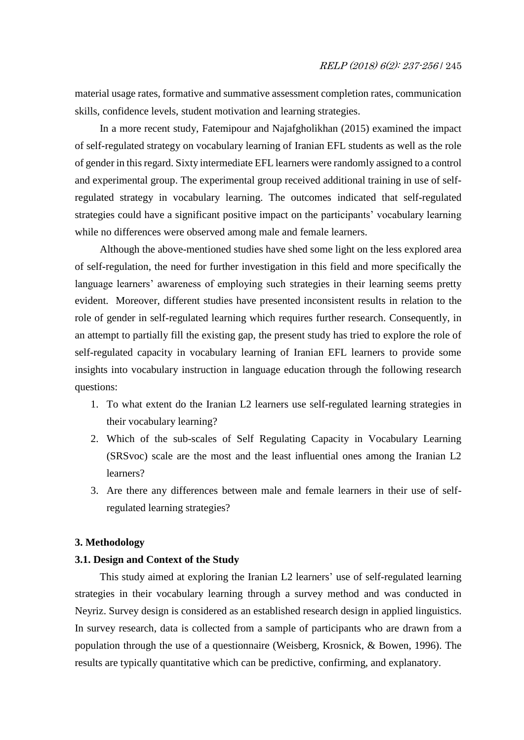material usage rates, formative and summative assessment completion rates, communication skills, confidence levels, student motivation and learning strategies.

In a more recent study, Fatemipour and Najafgholikhan (2015) examined the impact of self-regulated strategy on vocabulary learning of Iranian EFL students as well as the role of gender in this regard. Sixty intermediate EFL learners were randomly assigned to a control and experimental group. The experimental group received additional training in use of selfregulated strategy in vocabulary learning. The outcomes indicated that self-regulated strategies could have a significant positive impact on the participants' vocabulary learning while no differences were observed among male and female learners.

Although the above-mentioned studies have shed some light on the less explored area of self-regulation, the need for further investigation in this field and more specifically the language learners' awareness of employing such strategies in their learning seems pretty evident. Moreover, different studies have presented inconsistent results in relation to the role of gender in self-regulated learning which requires further research. Consequently, in an attempt to partially fill the existing gap, the present study has tried to explore the role of self-regulated capacity in vocabulary learning of Iranian EFL learners to provide some insights into vocabulary instruction in language education through the following research questions:

- 1. To what extent do the Iranian L2 learners use self-regulated learning strategies in their vocabulary learning?
- 2. Which of the sub-scales of Self Regulating Capacity in Vocabulary Learning (SRSvoc) scale are the most and the least influential ones among the Iranian L2 learners?
- 3. Are there any differences between male and female learners in their use of selfregulated learning strategies?

## **3. Methodology**

## **3.1. Design and Context of the Study**

This study aimed at exploring the Iranian L2 learners' use of self-regulated learning strategies in their vocabulary learning through a survey method and was conducted in Neyriz. Survey design is considered as an established research design in applied linguistics. In survey research, data is collected from a sample of participants who are drawn from a population through the use of a questionnaire (Weisberg, Krosnick, & Bowen, 1996). The results are typically quantitative which can be predictive, confirming, and explanatory.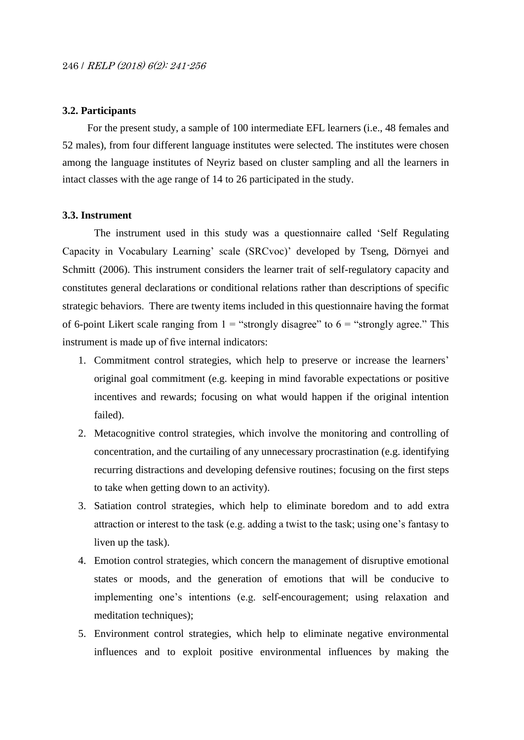# **3.2. Participants**

For the present study, a sample of 100 intermediate EFL learners (i.e., 48 females and 52 males), from four different language institutes were selected. The institutes were chosen among the language institutes of Neyriz based on cluster sampling and all the learners in intact classes with the age range of 14 to 26 participated in the study.

#### **3.3. Instrument**

The instrument used in this study was a questionnaire called 'Self Regulating Capacity in Vocabulary Learning' scale (SRCvoc)' developed by Tseng, Dörnyei and Schmitt (2006). This instrument considers the learner trait of self-regulatory capacity and constitutes general declarations or conditional relations rather than descriptions of specific strategic behaviors. There are twenty items included in this questionnaire having the format of 6-point Likert scale ranging from  $1 =$  "strongly disagree" to  $6 =$  "strongly agree." This instrument is made up of five internal indicators:

- 1. Commitment control strategies, which help to preserve or increase the learners' original goal commitment (e.g. keeping in mind favorable expectations or positive incentives and rewards; focusing on what would happen if the original intention failed).
- 2. Metacognitive control strategies, which involve the monitoring and controlling of concentration, and the curtailing of any unnecessary procrastination (e.g. identifying recurring distractions and developing defensive routines; focusing on the first steps to take when getting down to an activity).
- 3. Satiation control strategies, which help to eliminate boredom and to add extra attraction or interest to the task (e.g. adding a twist to the task; using one's fantasy to liven up the task).
- 4. Emotion control strategies, which concern the management of disruptive emotional states or moods, and the generation of emotions that will be conducive to implementing one's intentions (e.g. self-encouragement; using relaxation and meditation techniques);
- 5. Environment control strategies, which help to eliminate negative environmental influences and to exploit positive environmental influences by making the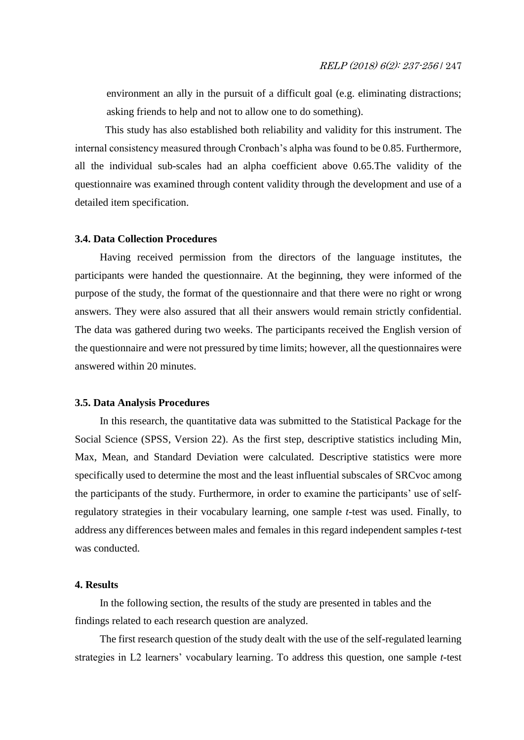environment an ally in the pursuit of a difficult goal (e.g. eliminating distractions; asking friends to help and not to allow one to do something).

This study has also established both reliability and validity for this instrument. The internal consistency measured through Cronbach's alpha was found to be 0.85. Furthermore, all the individual sub-scales had an alpha coefficient above 0.65.The validity of the questionnaire was examined through content validity through the development and use of a detailed item specification.

#### **3.4. Data Collection Procedures**

Having received permission from the directors of the language institutes, the participants were handed the questionnaire. At the beginning, they were informed of the purpose of the study, the format of the questionnaire and that there were no right or wrong answers. They were also assured that all their answers would remain strictly confidential. The data was gathered during two weeks. The participants received the English version of the questionnaire and were not pressured by time limits; however, all the questionnaires were answered within 20 minutes.

## **3.5. Data Analysis Procedures**

In this research, the quantitative data was submitted to the Statistical Package for the Social Science (SPSS, Version 22). As the first step, descriptive statistics including Min, Max, Mean, and Standard Deviation were calculated. Descriptive statistics were more specifically used to determine the most and the least influential subscales of SRCvoc among the participants of the study. Furthermore, in order to examine the participants' use of selfregulatory strategies in their vocabulary learning, one sample *t*-test was used. Finally, to address any differences between males and females in this regard independent samples *t*-test was conducted.

#### **4. Results**

In the following section, the results of the study are presented in tables and the findings related to each research question are analyzed.

The first research question of the study dealt with the use of the self-regulated learning strategies in L2 learners' vocabulary learning. To address this question, one sample *t*-test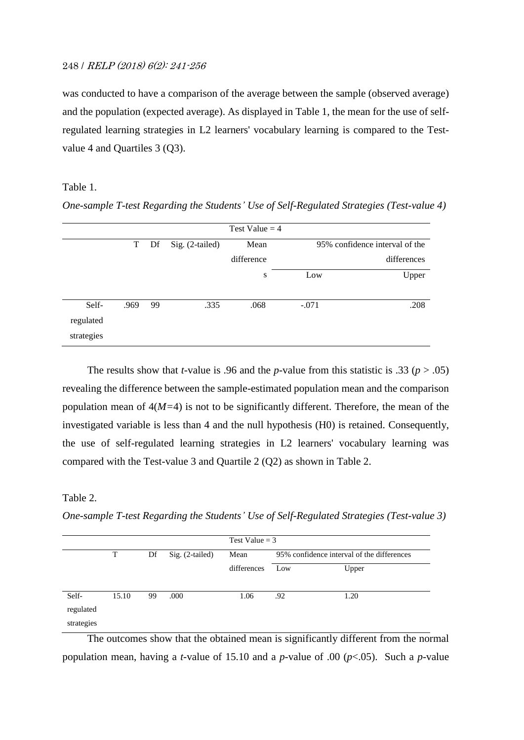# 248 / RELP (2018) 6(2): 241-256

was conducted to have a comparison of the average between the sample (observed average) and the population (expected average). As displayed in Table 1, the mean for the use of selfregulated learning strategies in L2 learners' vocabulary learning is compared to the Testvalue 4 and Quartiles 3 (Q3).

## Table 1.

*One-sample T-test Regarding the Students' Use of Self-Regulated Strategies (Test-value 4)*

|            |      |    |                 | Test Value $=$ 4 |         |                                |
|------------|------|----|-----------------|------------------|---------|--------------------------------|
|            | T    | Df | Sig. (2-tailed) | Mean             |         | 95% confidence interval of the |
|            |      |    |                 | difference       |         | differences                    |
|            |      |    |                 | S                | Low     | Upper                          |
|            |      |    |                 |                  |         |                                |
| Self-      | .969 | 99 | .335            | .068             | $-.071$ | .208                           |
| regulated  |      |    |                 |                  |         |                                |
| strategies |      |    |                 |                  |         |                                |

The results show that *t*-value is .96 and the *p*-value from this statistic is .33 ( $p > .05$ ) revealing the difference between the sample-estimated population mean and the comparison population mean of 4(*M=*4) is not to be significantly different. Therefore, the mean of the investigated variable is less than 4 and the null hypothesis (H0) is retained. Consequently, the use of self-regulated learning strategies in L2 learners' vocabulary learning was compared with the Test-value 3 and Quartile 2 (Q2) as shown in Table 2.

# Table 2.

*One-sample T-test Regarding the Students' Use of Self-Regulated Strategies (Test-value 3)*

|            | Test Value $=$ 3 |    |                 |             |                                            |       |  |  |  |  |
|------------|------------------|----|-----------------|-------------|--------------------------------------------|-------|--|--|--|--|
|            | T                | Df | Sig. (2-tailed) | Mean        | 95% confidence interval of the differences |       |  |  |  |  |
|            |                  |    |                 | differences | Low                                        | Upper |  |  |  |  |
| Self-      | 15.10            | 99 | .000            | 1.06        | .92                                        | 1.20  |  |  |  |  |
| regulated  |                  |    |                 |             |                                            |       |  |  |  |  |
| strategies |                  |    |                 |             |                                            |       |  |  |  |  |

The outcomes show that the obtained mean is significantly different from the normal population mean, having a *t*-value of 15.10 and a *p*-value of .00 ( $p$ <.05). Such a *p*-value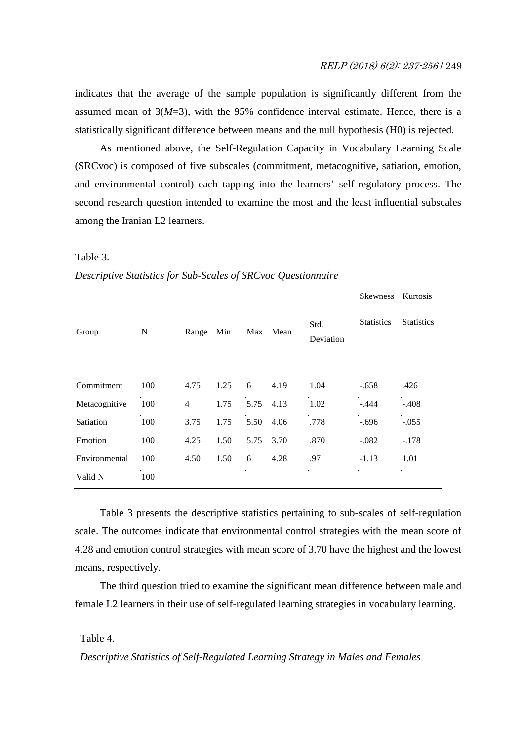indicates that the average of the sample population is significantly different from the assumed mean of  $3(M=3)$ , with the 95% confidence interval estimate. Hence, there is a statistically significant difference between means and the null hypothesis (H0) is rejected.

As mentioned above, the Self-Regulation Capacity in Vocabulary Learning Scale (SRCvoc) is composed of five subscales (commitment, metacognitive, satiation, emotion, and environmental control) each tapping into the learners' self-regulatory process. The second research question intended to examine the most and the least influential subscales among the Iranian L2 learners.

#### Table 3.

*Descriptive Statistics for Sub-Scales of SRCvoc Questionnaire*

|               |     |                |      |      |      |                   | <b>Skewness</b>   | Kurtosis          |
|---------------|-----|----------------|------|------|------|-------------------|-------------------|-------------------|
| Group         | N   | Range          | Min  | Max  | Mean | Std.<br>Deviation | <b>Statistics</b> | <b>Statistics</b> |
| Commitment    | 100 | 4.75           | 1.25 | 6    | 4.19 | 1.04              | $-.658$           | .426              |
| Metacognitive | 100 | $\overline{4}$ | 1.75 | 5.75 | 4.13 | 1.02              | $-.444$           | $-.408$           |
| Satiation     | 100 | 3.75           | 1.75 | 5.50 | 4.06 | .778              | $-.696$           | $-.055$           |
| Emotion       | 100 | 4.25           | 1.50 | 5.75 | 3.70 | .870              | $-.082$           | $-.178$           |
| Environmental | 100 | 4.50           | 1.50 | 6    | 4.28 | .97               | $-1.13$           | 1.01              |
| Valid N       | 100 |                |      |      |      |                   |                   |                   |

Table 3 presents the descriptive statistics pertaining to sub-scales of self-regulation scale. The outcomes indicate that environmental control strategies with the mean score of 4.28 and emotion control strategies with mean score of 3.70 have the highest and the lowest means, respectively.

The third question tried to examine the significant mean difference between male and female L2 learners in their use of self-regulated learning strategies in vocabulary learning.

# Table 4.

 *Descriptive Statistics of Self-Regulated Learning Strategy in Males and Females*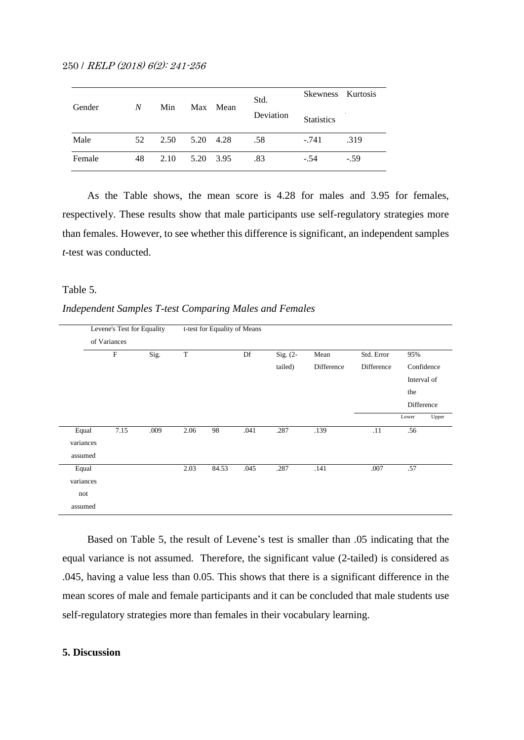250 / RELP (2018) 6(2): 241-256

| Gender | $\boldsymbol{N}$ | Min  |           | Max Mean | Std.      | Skewness Kurtosis |        |
|--------|------------------|------|-----------|----------|-----------|-------------------|--------|
|        |                  |      |           |          | Deviation | <b>Statistics</b> |        |
| Male   | 52               | 2.50 | 5.20      | 4.28     | .58       | $-.741$           | .319   |
| Female | 48               | 2.10 | 5.20 3.95 |          | .83       | $-.54$            | $-.59$ |

As the Table shows, the mean score is 4.28 for males and 3.95 for females, respectively. These results show that male participants use self-regulatory strategies more than females. However, to see whether this difference is significant, an independent samples *t*-test was conducted.

## Table 5.

#### *Independent Samples T-test Comparing Males and Females*

| Levene's Test for Equality |                           |      | t-test for Equality of Means |       |      |            |            |            |             |            |
|----------------------------|---------------------------|------|------------------------------|-------|------|------------|------------|------------|-------------|------------|
|                            | of Variances              |      |                              |       |      |            |            |            |             |            |
|                            | $\boldsymbol{\mathrm{F}}$ | Sig. | $\mathbf T$                  |       | Df   | Sig. $(2-$ | Mean       | Std. Error | 95%         |            |
|                            |                           |      |                              |       |      | tailed)    | Difference | Difference |             | Confidence |
|                            |                           |      |                              |       |      |            |            |            | Interval of |            |
|                            |                           |      |                              |       |      |            |            |            | the         |            |
|                            |                           |      |                              |       |      |            |            |            | Difference  |            |
|                            |                           |      |                              |       |      |            |            |            | Lower       | Upper      |
| Equal                      | 7.15                      | .009 | 2.06                         | 98    | .041 | .287       | .139       | .11        | .56         |            |
| variances                  |                           |      |                              |       |      |            |            |            |             |            |
| assumed                    |                           |      |                              |       |      |            |            |            |             |            |
| Equal                      |                           |      | 2.03                         | 84.53 | .045 | .287       | .141       | .007       | .57         |            |
| variances                  |                           |      |                              |       |      |            |            |            |             |            |
| not                        |                           |      |                              |       |      |            |            |            |             |            |
| assumed                    |                           |      |                              |       |      |            |            |            |             |            |

Based on Table 5, the result of Levene's test is smaller than .05 indicating that the equal variance is not assumed. Therefore, the significant value (2-tailed) is considered as .045, having a value less than 0.05. This shows that there is a significant difference in the mean scores of male and female participants and it can be concluded that male students use self-regulatory strategies more than females in their vocabulary learning.

# **5. Discussion**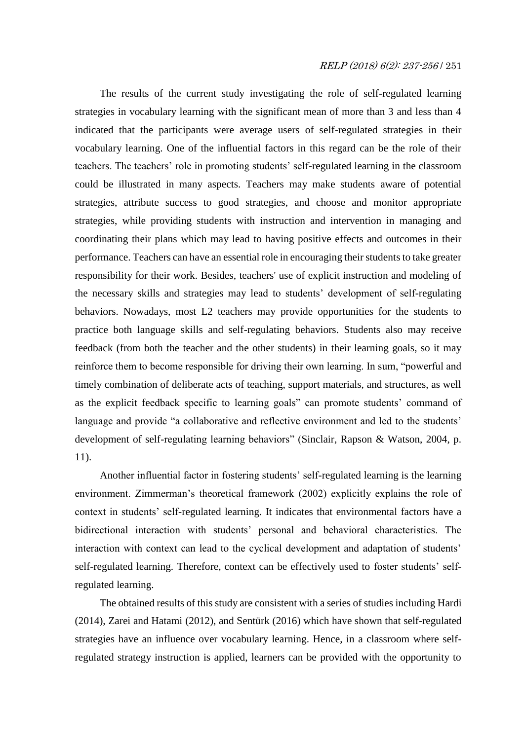# RELP (2018) 6(2): 237-256 / 251

The results of the current study investigating the role of self-regulated learning strategies in vocabulary learning with the significant mean of more than 3 and less than 4 indicated that the participants were average users of self-regulated strategies in their vocabulary learning. One of the influential factors in this regard can be the role of their teachers. The teachers' role in promoting students' self-regulated learning in the classroom could be illustrated in many aspects. Teachers may make students aware of potential strategies, attribute success to good strategies, and choose and monitor appropriate strategies, while providing students with instruction and intervention in managing and coordinating their plans which may lead to having positive effects and outcomes in their performance. Teachers can have an essential role in encouraging their students to take greater responsibility for their work. Besides, teachers' use of explicit instruction and modeling of the necessary skills and strategies may lead to students' development of self-regulating behaviors. Nowadays, most L2 teachers may provide opportunities for the students to practice both language skills and self-regulating behaviors. Students also may receive feedback (from both the teacher and the other students) in their learning goals, so it may reinforce them to become responsible for driving their own learning. In sum, "powerful and timely combination of deliberate acts of teaching, support materials, and structures, as well as the explicit feedback specific to learning goals" can promote students' command of language and provide "a collaborative and reflective environment and led to the students' development of self-regulating learning behaviors" (Sinclair, Rapson & Watson, 2004, p. 11).

Another influential factor in fostering students' self-regulated learning is the learning environment. Zimmerman's theoretical framework (2002) explicitly explains the role of context in students' self-regulated learning. It indicates that environmental factors have a bidirectional interaction with students' personal and behavioral characteristics. The interaction with context can lead to the cyclical development and adaptation of students' self-regulated learning. Therefore, context can be effectively used to foster students' selfregulated learning.

The obtained results of this study are consistent with a series of studies including Hardi (2014), Zarei and Hatami (2012), and Sentürk (2016) which have shown that self-regulated strategies have an influence over vocabulary learning. Hence, in a classroom where selfregulated strategy instruction is applied, learners can be provided with the opportunity to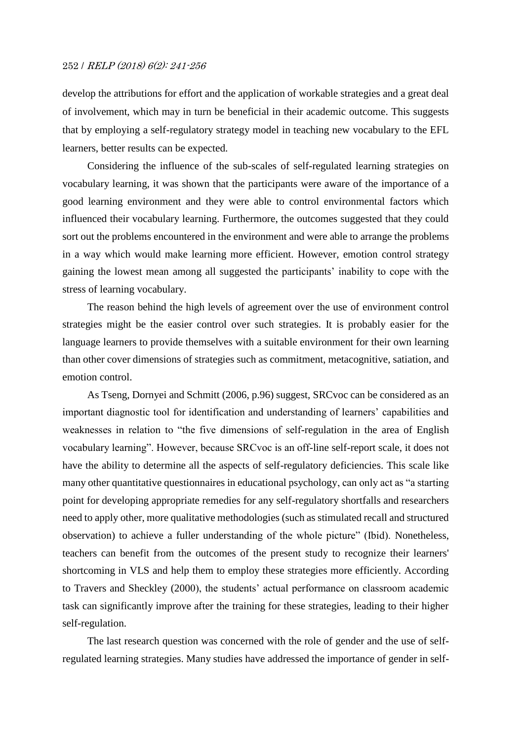# 252 / RELP (2018) 6(2): 241-256

develop the attributions for effort and the application of workable strategies and a great deal of involvement, which may in turn be beneficial in their academic outcome. This suggests that by employing a self-regulatory strategy model in teaching new vocabulary to the EFL learners, better results can be expected.

Considering the influence of the sub-scales of self-regulated learning strategies on vocabulary learning, it was shown that the participants were aware of the importance of a good learning environment and they were able to control environmental factors which influenced their vocabulary learning. Furthermore, the outcomes suggested that they could sort out the problems encountered in the environment and were able to arrange the problems in a way which would make learning more efficient. However, emotion control strategy gaining the lowest mean among all suggested the participants' inability to cope with the stress of learning vocabulary.

The reason behind the high levels of agreement over the use of environment control strategies might be the easier control over such strategies. It is probably easier for the language learners to provide themselves with a suitable environment for their own learning than other cover dimensions of strategies such as commitment, metacognitive, satiation, and emotion control.

As Tseng, Dornyei and Schmitt (2006, p.96) suggest, SRCvoc can be considered as an important diagnostic tool for identification and understanding of learners' capabilities and weaknesses in relation to "the five dimensions of self-regulation in the area of English vocabulary learning". However, because SRCvoc is an off-line self-report scale, it does not have the ability to determine all the aspects of self-regulatory deficiencies. This scale like many other quantitative questionnaires in educational psychology, can only act as "a starting point for developing appropriate remedies for any self-regulatory shortfalls and researchers need to apply other, more qualitative methodologies (such as stimulated recall and structured observation) to achieve a fuller understanding of the whole picture" (Ibid). Nonetheless, teachers can benefit from the outcomes of the present study to recognize their learners' shortcoming in VLS and help them to employ these strategies more efficiently. According to Travers and Sheckley (2000), the students' actual performance on classroom academic task can significantly improve after the training for these strategies, leading to their higher self-regulation.

The last research question was concerned with the role of gender and the use of selfregulated learning strategies. Many studies have addressed the importance of gender in self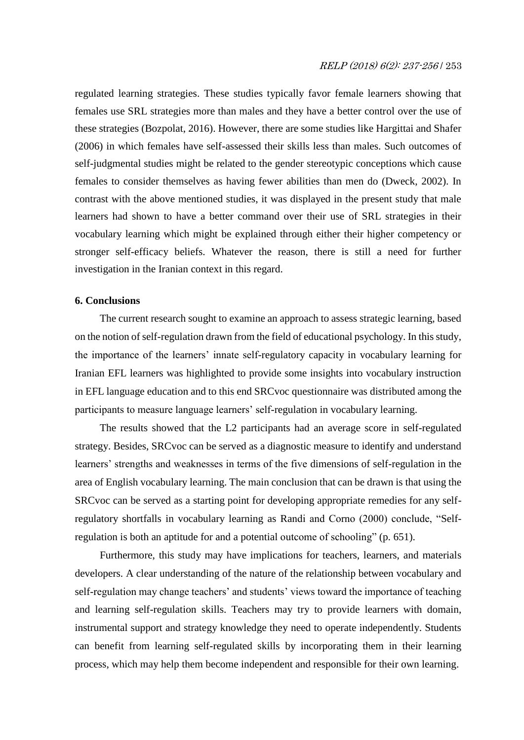regulated learning strategies. These studies typically favor female learners showing that females use SRL strategies more than males and they have a better control over the use of these strategies (Bozpolat, 2016). However, there are some studies like Hargittai and Shafer (2006) in which females have self-assessed their skills less than males. Such outcomes of self-judgmental studies might be related to the gender stereotypic conceptions which cause females to consider themselves as having fewer abilities than men do (Dweck, 2002). In contrast with the above mentioned studies, it was displayed in the present study that male learners had shown to have a better command over their use of SRL strategies in their vocabulary learning which might be explained through either their higher competency or stronger self-efficacy beliefs. Whatever the reason, there is still a need for further investigation in the Iranian context in this regard.

## **6. Conclusions**

The current research sought to examine an approach to assess strategic learning, based on the notion of self-regulation drawn from the field of educational psychology. In this study, the importance of the learners' innate self-regulatory capacity in vocabulary learning for Iranian EFL learners was highlighted to provide some insights into vocabulary instruction in EFL language education and to this end SRCvoc questionnaire was distributed among the participants to measure language learners' self-regulation in vocabulary learning.

The results showed that the L2 participants had an average score in self-regulated strategy. Besides, SRCvoc can be served as a diagnostic measure to identify and understand learners' strengths and weaknesses in terms of the five dimensions of self-regulation in the area of English vocabulary learning. The main conclusion that can be drawn is that using the SRCvoc can be served as a starting point for developing appropriate remedies for any selfregulatory shortfalls in vocabulary learning as Randi and Corno (2000) conclude, "Selfregulation is both an aptitude for and a potential outcome of schooling" (p. 651).

Furthermore, this study may have implications for teachers, learners, and materials developers. A clear understanding of the nature of the relationship between vocabulary and self-regulation may change teachers' and students' views toward the importance of teaching and learning self-regulation skills. Teachers may try to provide learners with domain, instrumental support and strategy knowledge they need to operate independently. Students can benefit from learning self-regulated skills by incorporating them in their learning process, which may help them become independent and responsible for their own learning.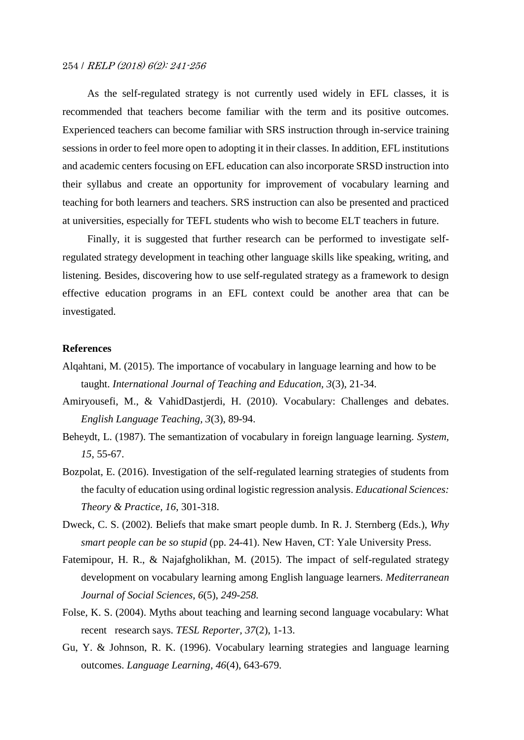# 254 / RELP (2018) 6(2): 241-256

As the self-regulated strategy is not currently used widely in EFL classes, it is recommended that teachers become familiar with the term and its positive outcomes. Experienced teachers can become familiar with SRS instruction through in-service training sessions in order to feel more open to adopting it in their classes. In addition, EFL institutions and academic centers focusing on EFL education can also incorporate SRSD instruction into their syllabus and create an opportunity for improvement of vocabulary learning and teaching for both learners and teachers. SRS instruction can also be presented and practiced at universities, especially for TEFL students who wish to become ELT teachers in future.

Finally, it is suggested that further research can be performed to investigate selfregulated strategy development in teaching other language skills like speaking, writing, and listening. Besides, discovering how to use self-regulated strategy as a framework to design effective education programs in an EFL context could be another area that can be investigated.

#### **References**

- Alqahtani, M. (2015). The importance of vocabulary in language learning and how to be taught. *International Journal of Teaching and Education, 3*(3), 21-34.
- Amiryousefi, M., & VahidDastjerdi, H. (2010). Vocabulary: Challenges and debates. *English Language Teaching, 3*(3), 89-94.
- Beheydt, L. (1987). The semantization of vocabulary in foreign language learning. *System, 15*, 55-67.
- Bozpolat, E. (2016). Investigation of the self-regulated learning strategies of students from the faculty of education using ordinal logistic regression analysis. *Educational Sciences: Theory & Practice, 16*, 301-318.
- Dweck, C. S. (2002). Beliefs that make smart people dumb. In R. J. Sternberg (Eds.), *Why smart people can be so stupid* (pp. 24-41). New Haven, CT: Yale University Press.
- Fatemipour, H. R., & Najafgholikhan, M. (2015). The impact of self-regulated strategy development on vocabulary learning among English language learners. *Mediterranean Journal of Social Sciences*, *6*(5), *249-258.*
- Folse, K. S. (2004). Myths about teaching and learning second language vocabulary: What recent research says. *TESL Reporter, 37*(2), 1-13.
- Gu, Y. & Johnson, R. K. (1996). Vocabulary learning strategies and language learning outcomes. *Language Learning, 46*(4), 643-679.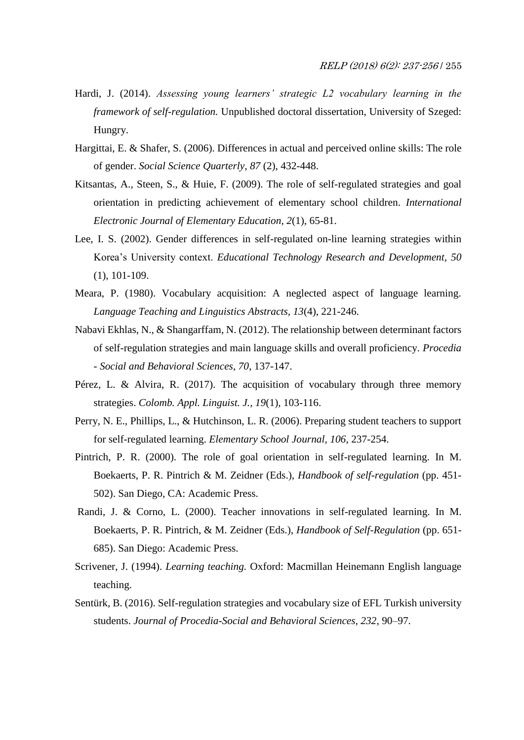- Hardi, J. (2014). *Assessing young learners' strategic L2 vocabulary learning in the framework of self-regulation.* Unpublished doctoral dissertation, University of Szeged: Hungry.
- Hargittai, E. & Shafer, S. (2006). Differences in actual and perceived online skills: The role of gender. *Social Science Quarterly, 87* (2), 432-448.
- Kitsantas, A., Steen, S., & Huie, F. (2009). The role of self-regulated strategies and goal orientation in predicting achievement of elementary school children. *International Electronic Journal of Elementary Education*, *2*(1), 65-81.
- Lee, I. S. (2002). Gender differences in self-regulated on-line learning strategies within Korea's University context. *Educational Technology Research and Development, 50* (1), 101-109.
- Meara, P. (1980). Vocabulary acquisition: A neglected aspect of language learning*. Language Teaching and Linguistics Abstracts, 13*(4), 221-246.
- Nabavi Ekhlas, N., & Shangarffam, N. (2012). The relationship between determinant factors of self-regulation strategies and main language skills and overall proficiency. *Procedia - Social and Behavioral Sciences, 70*, 137-147.
- Pérez, L. & Alvira, R. (2017). The acquisition of vocabulary through three memory strategies. *Colomb. Appl. Linguist. J., 19*(1), 103-116.
- Perry, N. E., Phillips, L., & Hutchinson, L. R. (2006). Preparing student teachers to support for self-regulated learning. *Elementary School Journal, 106*, 237-254.
- Pintrich, P. R. (2000). The role of goal orientation in self-regulated learning. In M. Boekaerts, P. R. Pintrich & M. Zeidner (Eds.), *Handbook of self-regulation* (pp. 451- 502). San Diego, CA: Academic Press.
- Randi, J. & Corno, L. (2000). Teacher innovations in self-regulated learning. In M. Boekaerts, P. R. Pintrich, & M. Zeidner (Eds.), *Handbook of Self-Regulation* (pp. 651- 685). San Diego: Academic Press.
- Scrivener, J. (1994). *Learning teaching.* Oxford: Macmillan Heinemann English language teaching.
- Sentürk, B. (2016). Self-regulation strategies and vocabulary size of EFL Turkish university students. *Journal of Procedia-Social and Behavioral Sciences, 232*, 90–97.